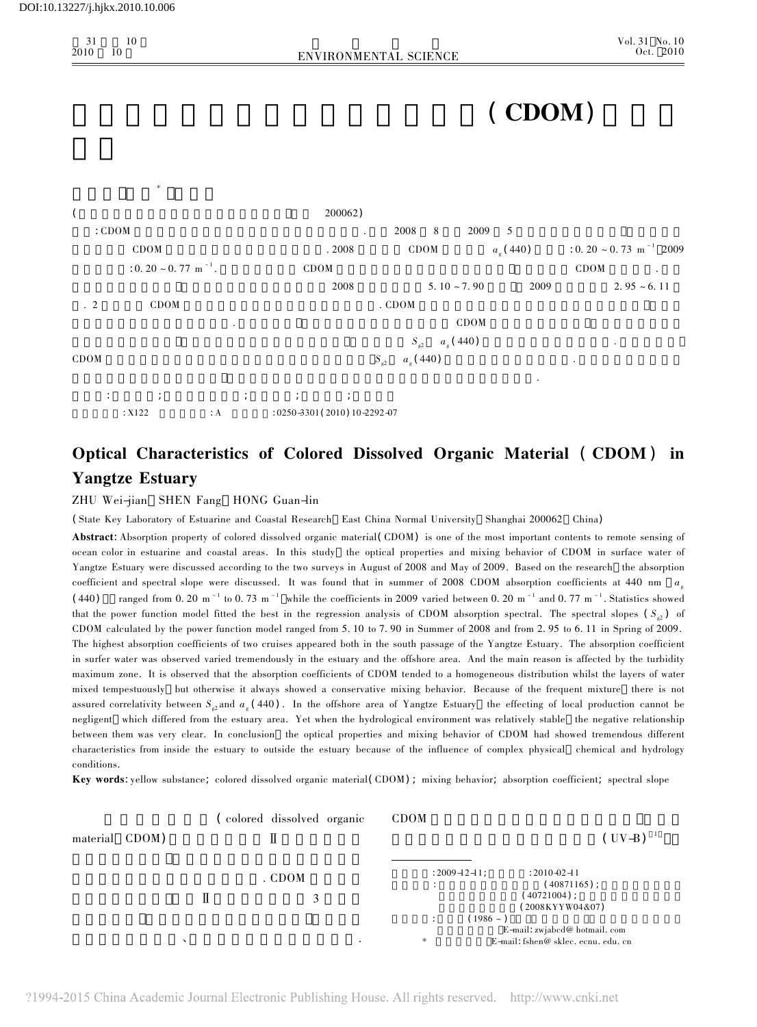$\frac{10}{10}$ 

31

2010

0 10 ENVIRONMENTAL SCIENCE





 $\mathcal{A} = \mathcal{A} \mathcal{A}$ ; control  $\mathcal{A} = \mathcal{A} \mathcal{A}$ ; control  $\mathcal{A} = \mathcal{A} \mathcal{A}$ ; control  $\mathcal{A}$ ; control  $\mathcal{A}$ ; control  $\mathcal{A}$ ; control  $\mathcal{A}$ ; control  $\mathcal{A}$ ; control  $\mathcal{A}$ ; control  $\mathcal{A}$ ; control  $\$  $\therefore$  X122  $\therefore$  A  $\therefore$  0250-3301(2010)10-2292-07

# Optical Characteristics of Colored Dissolved Organic Material ( CDOM ) in Yangtze Estuary

ZHU Wei-jian SHEN Fang HONG Guan-lin

( State Key Laboratory of Estuarine and Coastal Research East China Normal University Shanghai 200062 China)

Abstract:Absorption property of colored dissolved organic material(CDOM) is one of the most important contents to remote sensing of ocean color in estuarine and coastal areas. In this study the optical properties and mixing behavior of CDOM in surface water of Yangtze Estuary were discussed according to the two surveys in August of 2008 and May of 2009. Based on the research the absorption coefficient and spectral slope were discussed. It was found that in summer of 2008 CDOM absorption coefficients at 440 nm  $a_i$  $(440)$  ranged from 0. 20 m<sup>-1</sup> to 0. 73 m<sup>-1</sup> while the coefficients in 2009 varied between 0. 20 m<sup>-1</sup> and 0. 77 m<sup>-1</sup>. Statistics showed that the power function model fitted the best in the regression analysis of CDOM absorption spectral. The spectral slopes  $(S_{\varphi})$  of CDOM calculated by the power function model ranged from 5. 10 to 7. 90 in Summer of 2008 and from 2. 95 to 6. 11 in Spring of 2009. The highest absorption coefficients of two cruises appeared both in the south passage of the Yangtze Estuary. The absorption coefficient in surfer water was observed varied tremendously in the estuary and the offshore area. And the main reason is affected by the turbidity maximum zone. It is observed that the absorption coefficients of CDOM tended to a homogeneous distribution whilst the layers of water mixed tempestuously but otherwise it always showed a conservative mixing behavior. Because of the frequent mixture there is not assured correlativity between  $S_{\varphi}$  and  $a_{\varphi}$  (440). In the offshore area of Yangtze Estuary the effecting of local production cannot be negligent which differed from the estuary area. Yet when the hydrological environment was relatively stable the negative relationship between them was very clear. In conclusion the optical properties and mixing behavior of CDOM had showed tremendous different characteristics from inside the estuary to outside the estuary because of the influence of complex physical chemical and hydrology conditions.

Key words:yellow substance; colored dissolved organic material(CDOM) ; mixing behavior; absorption coefficient; spectral slope

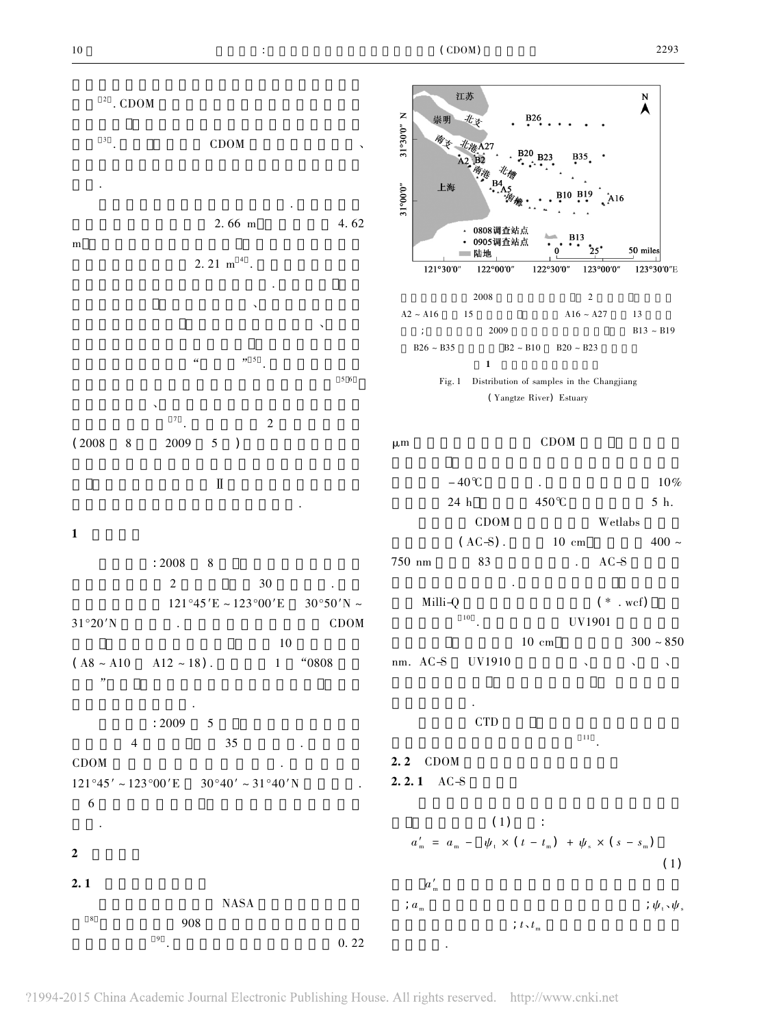

?1994-2015 China Academic Journal Electronic Publishing House. All rights reserved. http://www.cnki.net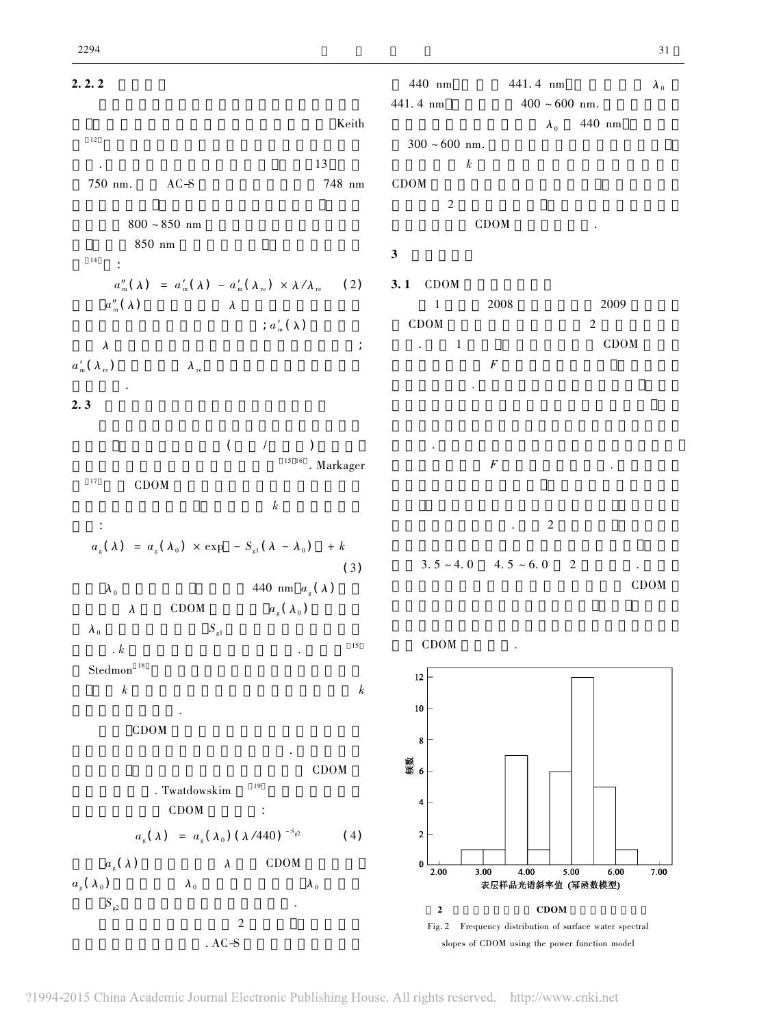

?1994-2015 China Academic Journal Electronic Publishing House. All rights reserved. http://www.cnki.net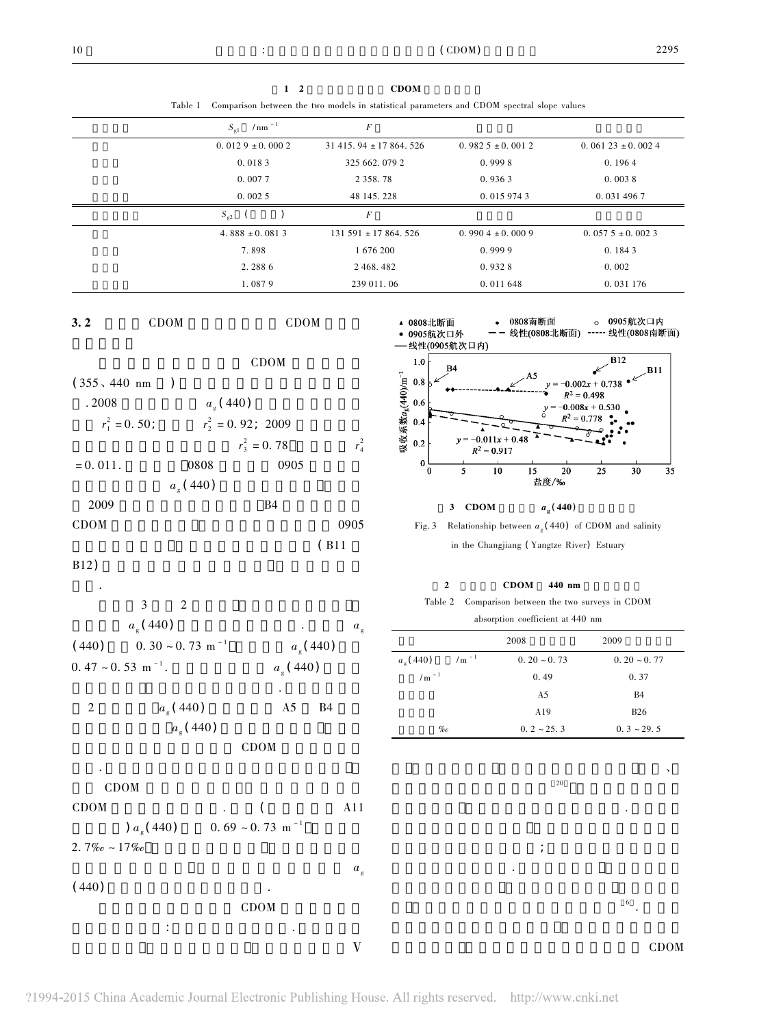$1 \quad 2 \quad \text{CDOM}$ 

Table 1 Comparison between the two models in statistical parameters and CDOM spectral slope values

| $/ \text{nm}$ <sup>-1</sup><br>$S_{\rm gl}$ | $\boldsymbol{F}$         |                     |                      |
|---------------------------------------------|--------------------------|---------------------|----------------------|
| $0.0129 \pm 0.0002$                         | $31415.94 \pm 17864.526$ | $0.9825 \pm 0.0012$ | $0.06123 \pm 0.0024$ |
| 0.0183                                      | 325 662, 079 2           | 0.9998              | 0.1964               |
| 0.0077                                      | 2 3 5 8 . 7 8            | 0.9363              | 0.0038               |
| 0.0025                                      | 48 145, 228              | 0.015 974 3         | 0.031 496 7          |
| $S_{\rm g2}$                                | $\boldsymbol{F}$         |                     |                      |
| 4.888 $\pm$ 0.0813                          | $131591 \pm 17864.526$   | $0.9904 \pm 0.0009$ | $0.0575 + 0.0023$    |
| 7.898                                       | 1 676 200                | 0.9999              | 0.1843               |
| 2.2886                                      | 2 468, 482               | 0.9328              | 0.002                |
| 1.0879                                      | 239 011, 06              | 0.011648            | 0.031 176            |





布区. 由盐度和吸收系数的相关性检验结果看出

CDOM  $\mathcal{L}$ CDOM $M \qquad \qquad . \qquad (A11$  $(a_{\alpha}(440))$  $(0.69 \sim 0.73 \text{ m}^{-1})$  $2.7\%o \sim 17\%o$  $a_{\scriptscriptstyle s}$  $(440)$ CDOM 多种因素的影响:首先是黄浦江的汇入. 在南槽采样

 $\rm V$ 





## 3 CDOM  $a_g(440)$



## $2$  CDOM 440 nm

Table 2 Comparison between the two surveys in CDOM absorption coefficient at 440 nm

|                                    | $2008\,$         | 2009            |
|------------------------------------|------------------|-----------------|
| /m $^{\rm -1}$<br>$a_{\rm g}(440)$ | $0.20 \sim 0.73$ | $0.20 - 0.77$   |
| /m $^{\rm -1}$                     | 0.49             | 0.37            |
|                                    | A5               | <b>B4</b>       |
|                                    | A19              | <b>B26</b>      |
| $\%o$                              | $0.2 \sim 25.3$  | $0.3 \sim 29.5$ |
|                                    |                  |                 |
|                                    |                  | ╮               |
|                                    | 20               |                 |
|                                    |                  |                 |
|                                    |                  |                 |
|                                    |                  |                 |
|                                    | $\frac{1}{l}$    |                 |
|                                    | $\bullet$        |                 |
|                                    |                  |                 |
|                                    |                  | 6               |
|                                    |                  |                 |
|                                    |                  | CDOM            |

 $a_{\rm g}$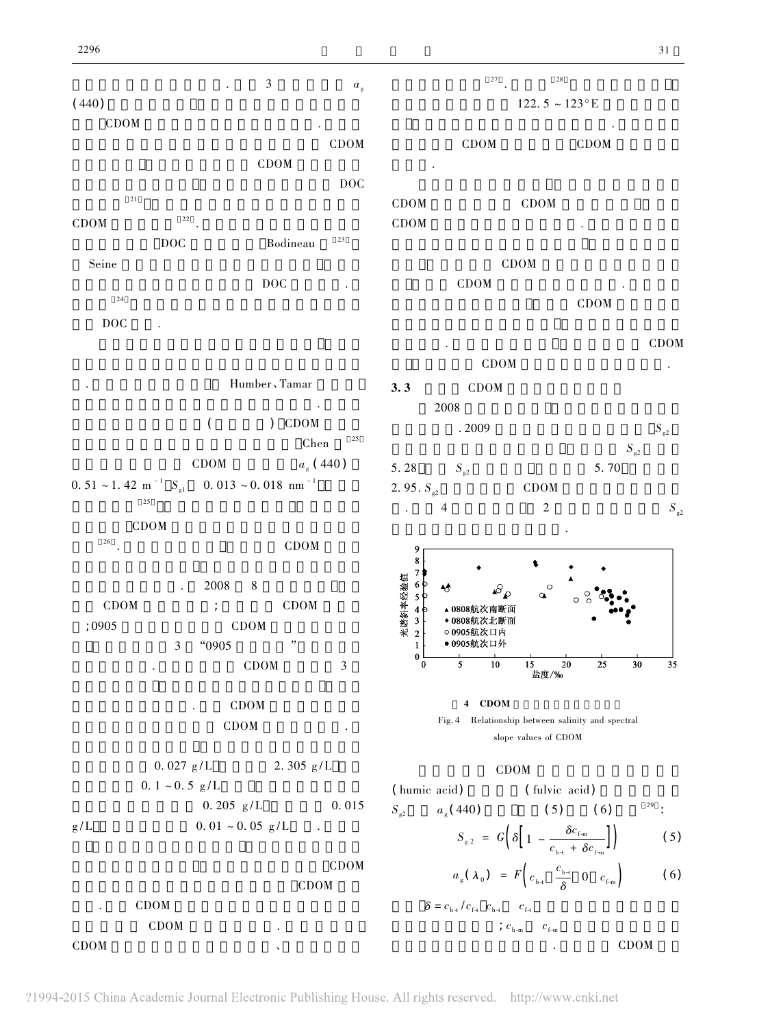$a<sub>e</sub>$  and  $a<sub>g</sub>$  $a_{\rm g}$  $(440)$ **CDOM** 的水体交换中底部沉积物间隙水中含有的 CDOM  $CDOM$  $\overline{D}$ OC 浓度较高 <sup>21</sup> 表层沉积物的再悬浮是近岸水体中 CDOM $\mathbf{M}$  22 . DOC Bodineau <sup>23</sup> Seine $\mathbf e$  $\overline{D}$  DOC  $\overline{D}$  $24$ DOC

.Humber、Tamar  $\mathcal{R}$  $($  )  $CDOM$  $Chen$   $25$ CDOM  $a_{\rm g}$  (440) 0. 51 ~ 1. 42 m<sup>-1</sup>  $S_{\text{gl}}$  $0.013 \sim 0.018 \text{ nm}^{-1}$  $25$  $\rm{CDOM}$ <sub>26</sub>  $CDOM$  $. 2008 \t 8$  $\rm{CDOM}$  ;  $\rm{CDOM}$  $:0905$  CDOM 3  $"0905"$  "  $CDOM$  3

> CDOM CDOM  $0.027 \text{ g/L}$  2. 305 g/L  $0. 1 \sim 0.5 \text{ g/L}$

 $0.205 \text{ g/L}$   $0.015$  $g/L$  $0.01 \sim 0.05 \text{ g/L}$ .

CDOM CDOM CDOM 示了 口 外 的 CDOM 有 增 加 的 过 程. 在 开 阔 海 域 CDOM $M$ 

 $S_{\rm g2}$ 

 $\frac{27}{10}$  .  $\frac{28}{10}$  $122.5 \sim 123$ °E 表层叶绿素浓度明显高于附近海域. 在该海域现 CDOM CDOM 显升高. CDOM $C$ DOM CDOM $M$   $\blacksquare$ CDOM  $CDOM$ CDOM

行为特征. 在 调 查 期 间 发 现 长 江 口 外 存 在 CDOM CDOM the contract of the contract of the contract of the contract of the contract of the contract of the contract of the contract of the contract of the contract of the contract of the contract of the contract of the contr 3. 3 CDOM 2008 $8<sub>8</sub>$  $.2009$  $S_{\rm g2}$  $S_{\rm g2}$  $\frac{1}{2}$ 

5. 28  $S_{g2}$  $S_{\scriptscriptstyle e2}$  5. 70 2. 95.  $S_{22}$  CDOM . $. 4$  2  $S_{s2}$ 随盐度变化没有明显变化趋势.



4 CDOM Fig. 4 Relationship between salinity and spectral slope values of CDOM

### $CDOM$

( humic acid) ( fulvic acid)  $S_{\varphi_2}$  $a_s(440)$  (5) (6)  $29$  :  $S_{\scriptscriptstyle g_2} = G \left[ \delta \right] 1 - \frac{\delta c_{\scriptscriptstyle f_m}}{2}$  $\left( \begin{array}{c} \mathbf{0} \end{array} \right] \left[ \begin{array}{c} \mathbf{I} \end{array} \right] = \frac{\mathbf{I} \cdot \mathbf{m}}{c_{\mathbf{h} +} + \delta c_{\mathbf{f} - \mathbf{m}}} \end{array}$ (5)  $a_{\scriptscriptstyle g}$  $_{\rm g}(\lambda_0) = F\left(c_{\rm h}$  $c_{\rm h}$ 

$$
a_{g}(\lambda_{0}) = F\left(c_{h+} \frac{c_{h+}}{\delta} \quad 0 \quad c_{f+m}\right) \tag{6}
$$

 $\delta = c_{\text{h-}t} / c_{\text{f-}t} \quad c_{\text{h-}t} \qquad c_{\text{f-}t}$ ;  $c_{\text{h-m}}$ m  $c_{f-m}$ CDOM

?1994-2015 China Academic Journal Electronic Publishing House. All rights reserved. http://www.cnki.net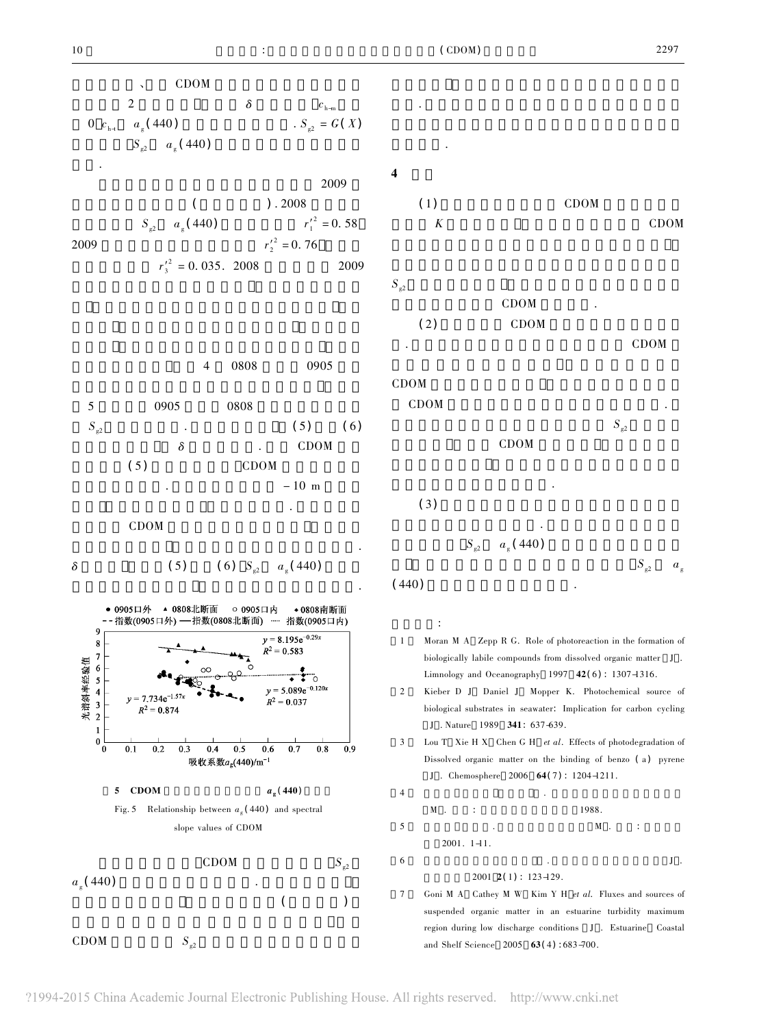

CDOM $S_{\rm g2}$ 

 $S_{\scriptscriptstyle s2}$  –  $a_{\scriptscriptstyle \rm g}$ 

变化特征.  $(1)$  CDOM  $K$  CDOM  $S_{\varphi_2}$ CDOM  $(2)$  CDOM CDOM

 $M$ CDOM $M$  $S_{\alpha 2}$  $\overline{a}$ CDOM 和浮游生物现场生产的作用.  $(3)$ 质的空间分布有重大影响. 河口最大浑浊带区域水  $S_{\rm g2}$  $a_{\rm g}$  (440)

$$
440\lambda
$$

 Moran M A Zepp R G. Role of photoreaction in the formation of biologically labile compounds from dissolved organic matter J . Limnology and Oceanography 1997  $42(6)$ : 1307-1316.

 Kieber D J Daniel J Mopper K. Photochemical source of biological substrates in seawater: Implication for carbon cycling J . Nature 1989 341: 637-639.

Lou T Xie H X Chen G H et al. Effects of photodegradation of Dissolved organic matter on the binding of benzo (a) pyrene J . Chemosphere 2006  $64(7)$ : 1204-1211.

 $4$  $\,$  M  $\,$  . . 上海: 上海科学技术出版社 1988.  $5$  M .  $\vdots$  $2001. 1 - 11.$  $\delta$  J .  $\Box$  $2001$  2(1): 123-129.

 Goni M A Cathey M W Kim Y H et al. Fluxes and sources of suspended organic matter in an estuarine turbidity maximum region during low discharge conditions J . Estuarine Coastal and Shelf Science 2005 63(4):683-700.

 $\frac{1}{2}$